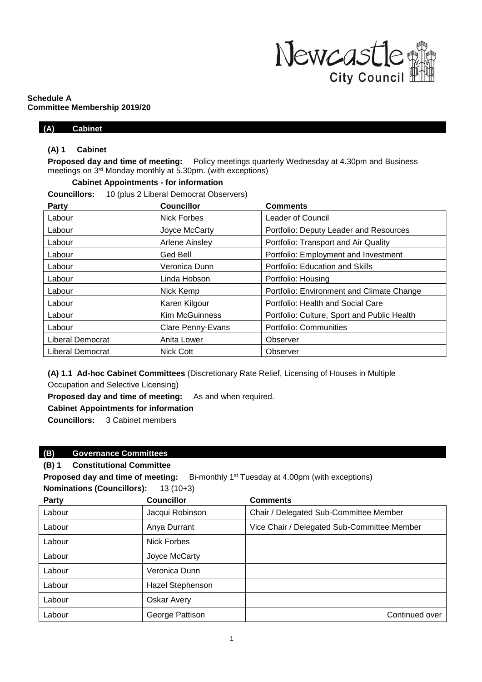

#### **Schedule A Committee Membership 2019/20**

#### **(A) Cabinet**

#### **(A) 1 Cabinet**

**Proposed day and time of meeting:** Policy meetings quarterly Wednesday at 4.30pm and Business meetings on 3 rd Monday monthly at 5.30pm. (with exceptions)

### **Cabinet Appointments - for information**

**Councillors:** 10 (plus 2 Liberal Democrat Observers)

| Party                   | <b>Councillor</b>        | <b>Comments</b>                             |
|-------------------------|--------------------------|---------------------------------------------|
| Labour                  | Nick Forbes              | <b>Leader of Council</b>                    |
| Labour                  | Joyce McCarty            | Portfolio: Deputy Leader and Resources      |
| Labour                  | <b>Arlene Ainsley</b>    | Portfolio: Transport and Air Quality        |
| Labour                  | Ged Bell                 | Portfolio: Employment and Investment        |
| Labour                  | Veronica Dunn            | Portfolio: Education and Skills             |
| Labour                  | Linda Hobson             | Portfolio: Housing                          |
| Labour                  | Nick Kemp                | Portfolio: Environment and Climate Change   |
| Labour                  | Karen Kilgour            | Portfolio: Health and Social Care           |
| Labour                  | <b>Kim McGuinness</b>    | Portfolio: Culture, Sport and Public Health |
| Labour                  | <b>Clare Penny-Evans</b> | Portfolio: Communities                      |
| <b>Liberal Democrat</b> | Anita Lower              | Observer                                    |
| <b>Liberal Democrat</b> | <b>Nick Cott</b>         | Observer                                    |

**(A) 1.1 Ad-hoc Cabinet Committees** (Discretionary Rate Relief, Licensing of Houses in Multiple Occupation and Selective Licensing)

**Proposed day and time of meeting:** As and when required.

**Cabinet Appointments for information**

**Councillors:** 3 Cabinet members

#### **(B) Governance Committees**

### **(B) 1 Constitutional Committee**

**Proposed day and time of meeting:** Bi-monthly  $1<sup>st</sup>$  Tuesday at 4.00pm (with exceptions) **Nominations (Councillors):** 13 (10+3)

| Party  | <b>Councillor</b>       | <b>Comments</b>                             |
|--------|-------------------------|---------------------------------------------|
| Labour | Jacqui Robinson         | Chair / Delegated Sub-Committee Member      |
| Labour | Anya Durrant            | Vice Chair / Delegated Sub-Committee Member |
| Labour | <b>Nick Forbes</b>      |                                             |
| Labour | Joyce McCarty           |                                             |
| Labour | Veronica Dunn           |                                             |
| Labour | <b>Hazel Stephenson</b> |                                             |
| Labour | <b>Oskar Avery</b>      |                                             |
| Labour | George Pattison         | Continued over                              |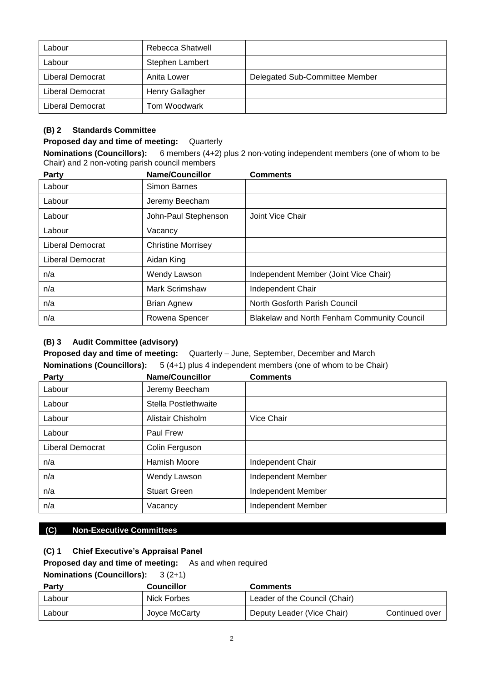| Labour           | Rebecca Shatwell |                                |
|------------------|------------------|--------------------------------|
| Labour           | Stephen Lambert  |                                |
| Liberal Democrat | Anita Lower      | Delegated Sub-Committee Member |
| Liberal Democrat | Henry Gallagher  |                                |
| Liberal Democrat | Tom Woodwark     |                                |

## **(B) 2 Standards Committee**

### **Proposed day and time of meeting:** Quarterly

**Nominations (Councillors):** 6 members (4+2) plus 2 non-voting independent members (one of whom to be Chair) and 2 non-voting parish council members

| Party            | <b>Name/Councillor</b>    | <b>Comments</b>                                    |
|------------------|---------------------------|----------------------------------------------------|
| Labour           | Simon Barnes              |                                                    |
| Labour           | Jeremy Beecham            |                                                    |
| Labour           | John-Paul Stephenson      | Joint Vice Chair                                   |
| Labour           | Vacancy                   |                                                    |
| Liberal Democrat | <b>Christine Morrisey</b> |                                                    |
| Liberal Democrat | Aidan King                |                                                    |
| n/a              | Wendy Lawson              | Independent Member (Joint Vice Chair)              |
| n/a              | <b>Mark Scrimshaw</b>     | Independent Chair                                  |
| n/a              | <b>Brian Agnew</b>        | North Gosforth Parish Council                      |
| n/a              | Rowena Spencer            | <b>Blakelaw and North Fenham Community Council</b> |

## **(B) 3 Audit Committee (advisory)**

**Proposed day and time of meeting:** Quarterly – June, September, December and March **Nominations (Councillors):** 5 (4+1) plus 4 independent members (one of whom to be Chair)

| Party            | <b>Name/Councillor</b> | <b>Comments</b>    |
|------------------|------------------------|--------------------|
| Labour           | Jeremy Beecham         |                    |
| Labour           | Stella Postlethwaite   |                    |
| Labour           | Alistair Chisholm      | Vice Chair         |
| Labour           | Paul Frew              |                    |
| Liberal Democrat | Colin Ferguson         |                    |
| n/a              | <b>Hamish Moore</b>    | Independent Chair  |
| n/a              | Wendy Lawson           | Independent Member |
| n/a              | <b>Stuart Green</b>    | Independent Member |
| n/a              | Vacancy                | Independent Member |

### **(C) Non-Executive Committees**

## **(C) 1 Chief Executive's Appraisal Panel**

**Proposed day and time of meeting:** As and when required

## **Nominations (Councillors):** 3 (2+1)

| <b>Party</b> | <b>Councillor</b> | <b>Comments</b>               |                |
|--------------|-------------------|-------------------------------|----------------|
| Labour       | Nick Forbes       | Leader of the Council (Chair) |                |
| Labour       | Joyce McCarty     | Deputy Leader (Vice Chair)    | Continued over |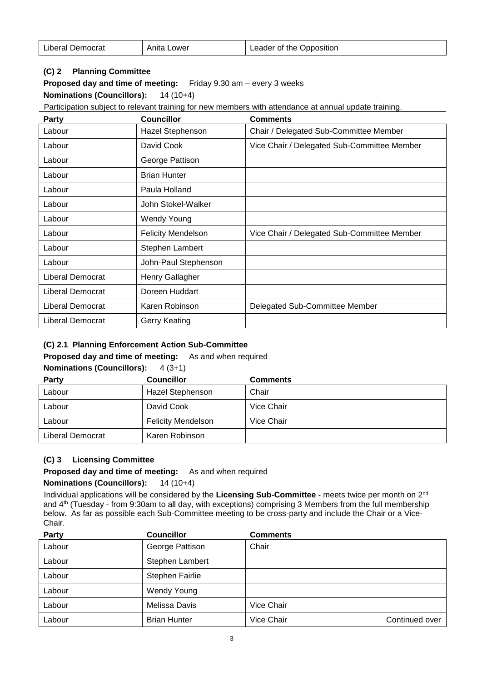| Leader of the Opposition |
|--------------------------|
|                          |

## **(C) 2 Planning Committee**

**Proposed day and time of meeting:** Friday 9.30 am – every 3 weeks

**Nominations (Councillors):** 14 (10+4)

Participation subject to relevant training for new members with attendance at annual update training.

| Party                   | <b>Councillor</b>         | <b>Comments</b>                             |
|-------------------------|---------------------------|---------------------------------------------|
| Labour                  | Hazel Stephenson          | Chair / Delegated Sub-Committee Member      |
| Labour                  | David Cook                | Vice Chair / Delegated Sub-Committee Member |
| Labour                  | George Pattison           |                                             |
| Labour                  | <b>Brian Hunter</b>       |                                             |
| Labour                  | Paula Holland             |                                             |
| Labour                  | John Stokel-Walker        |                                             |
| Labour                  | <b>Wendy Young</b>        |                                             |
| Labour                  | <b>Felicity Mendelson</b> | Vice Chair / Delegated Sub-Committee Member |
| Labour                  | Stephen Lambert           |                                             |
| Labour                  | John-Paul Stephenson      |                                             |
| Liberal Democrat        | Henry Gallagher           |                                             |
| Liberal Democrat        | Doreen Huddart            |                                             |
| <b>Liberal Democrat</b> | Karen Robinson            | Delegated Sub-Committee Member              |
| Liberal Democrat        | Gerry Keating             |                                             |

### **(C) 2.1 Planning Enforcement Action Sub-Committee**

#### **Proposed day and time of meeting:** As and when required

**Nominations (Councillors):** 4 (3+1)

|  |  | Comments |
|--|--|----------|

| <b>Party</b>     | <b>Councillor</b>         | <b>Comments</b> |
|------------------|---------------------------|-----------------|
| Labour           | <b>Hazel Stephenson</b>   | Chair           |
| Labour           | David Cook                | Vice Chair      |
| Labour           | <b>Felicity Mendelson</b> | Vice Chair      |
| Liberal Democrat | Karen Robinson            |                 |

### **(C) 3 Licensing Committee**

**Proposed day and time of meeting:** As and when required

#### **Nominations (Councillors):** 14 (10+4)

Individual applications will be considered by the **Licensing Sub-Committee** - meets twice per month on 2nd and 4th (Tuesday - from 9:30am to all day, with exceptions) comprising 3 Members from the full membership below. As far as possible each Sub-Committee meeting to be cross-party and include the Chair or a Vice-Chair.

| Party  | <b>Councillor</b>   | <b>Comments</b>   |                |
|--------|---------------------|-------------------|----------------|
| Labour | George Pattison     | Chair             |                |
| Labour | Stephen Lambert     |                   |                |
| Labour | Stephen Fairlie     |                   |                |
| Labour | <b>Wendy Young</b>  |                   |                |
| Labour | Melissa Davis       | Vice Chair        |                |
| Labour | <b>Brian Hunter</b> | <b>Vice Chair</b> | Continued over |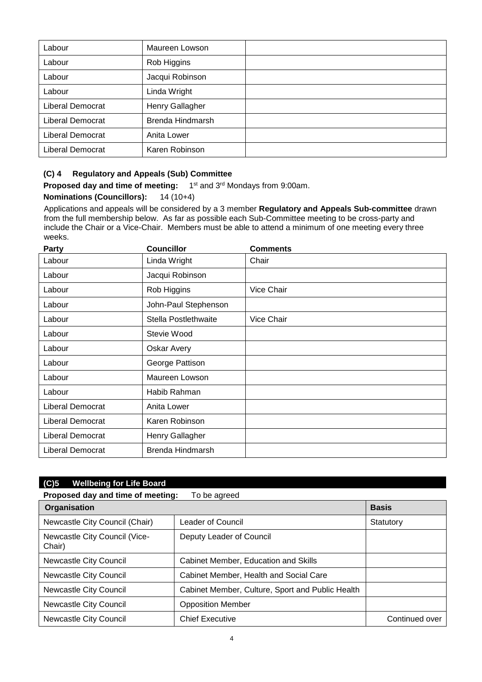| Labour           | Maureen Lowson   |  |
|------------------|------------------|--|
| Labour           | Rob Higgins      |  |
| Labour           | Jacqui Robinson  |  |
| Labour           | Linda Wright     |  |
| Liberal Democrat | Henry Gallagher  |  |
| Liberal Democrat | Brenda Hindmarsh |  |
| Liberal Democrat | Anita Lower      |  |
| Liberal Democrat | Karen Robinson   |  |

### **(C) 4 Regulatory and Appeals (Sub) Committee**

**Proposed day and time of meeting:** 1 1<sup>st</sup> and 3<sup>rd</sup> Mondays from 9:00am.

### **Nominations (Councillors):** 14 (10+4)

Applications and appeals will be considered by a 3 member **Regulatory and Appeals Sub-committee** drawn from the full membership below. As far as possible each Sub-Committee meeting to be cross-party and include the Chair or a Vice-Chair. Members must be able to attend a minimum of one meeting every three weeks.

| Party            | <b>Councillor</b>    | <b>Comments</b> |
|------------------|----------------------|-----------------|
| Labour           | Linda Wright         | Chair           |
| Labour           | Jacqui Robinson      |                 |
| Labour           | Rob Higgins          | Vice Chair      |
| Labour           | John-Paul Stephenson |                 |
| Labour           | Stella Postlethwaite | Vice Chair      |
| Labour           | Stevie Wood          |                 |
| Labour           | Oskar Avery          |                 |
| Labour           | George Pattison      |                 |
| Labour           | Maureen Lowson       |                 |
| Labour           | Habib Rahman         |                 |
| Liberal Democrat | Anita Lower          |                 |
| Liberal Democrat | Karen Robinson       |                 |
| Liberal Democrat | Henry Gallagher      |                 |
| Liberal Democrat | Brenda Hindmarsh     |                 |

| (C)5<br><b>Wellbeing for Life Board</b> |                                                   |                |  |
|-----------------------------------------|---------------------------------------------------|----------------|--|
|                                         | Proposed day and time of meeting:<br>To be agreed |                |  |
| Organisation                            |                                                   | <b>Basis</b>   |  |
| Newcastle City Council (Chair)          | Leader of Council                                 | Statutory      |  |
| Newcastle City Council (Vice-<br>Chair) | Deputy Leader of Council                          |                |  |
| Newcastle City Council                  | Cabinet Member, Education and Skills              |                |  |
| Newcastle City Council                  | Cabinet Member, Health and Social Care            |                |  |
| Newcastle City Council                  | Cabinet Member, Culture, Sport and Public Health  |                |  |
| Newcastle City Council                  | <b>Opposition Member</b>                          |                |  |
| Newcastle City Council                  | <b>Chief Executive</b>                            | Continued over |  |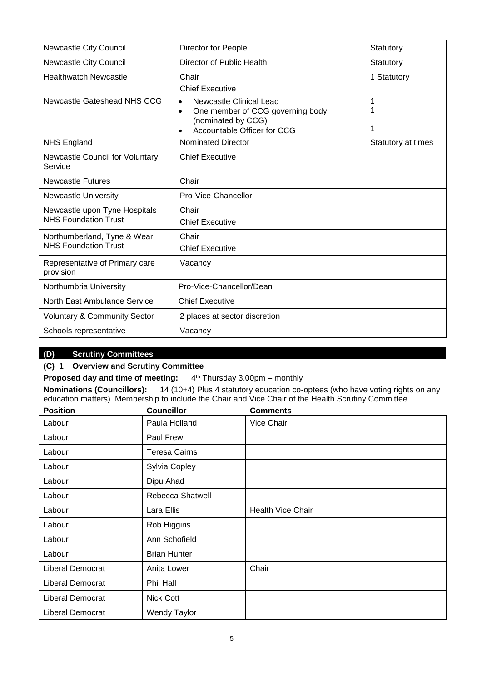| Newcastle City Council                                       | Director for People                                                                                                                                            | Statutory          |
|--------------------------------------------------------------|----------------------------------------------------------------------------------------------------------------------------------------------------------------|--------------------|
| Newcastle City Council                                       | Director of Public Health                                                                                                                                      | Statutory          |
| <b>Healthwatch Newcastle</b>                                 | Chair<br><b>Chief Executive</b>                                                                                                                                | 1 Statutory        |
| Newcastle Gateshead NHS CCG                                  | <b>Newcastle Clinical Lead</b><br>$\bullet$<br>One member of CCG governing body<br>$\bullet$<br>(nominated by CCG)<br>Accountable Officer for CCG<br>$\bullet$ | 1<br>1             |
| <b>NHS England</b>                                           | <b>Nominated Director</b>                                                                                                                                      | Statutory at times |
| <b>Newcastle Council for Voluntary</b><br>Service            | <b>Chief Executive</b>                                                                                                                                         |                    |
| <b>Newcastle Futures</b>                                     | Chair                                                                                                                                                          |                    |
| <b>Newcastle University</b>                                  | Pro-Vice-Chancellor                                                                                                                                            |                    |
| Newcastle upon Tyne Hospitals<br><b>NHS Foundation Trust</b> | Chair<br><b>Chief Executive</b>                                                                                                                                |                    |
| Northumberland, Tyne & Wear<br><b>NHS Foundation Trust</b>   | Chair<br><b>Chief Executive</b>                                                                                                                                |                    |
| Representative of Primary care<br>provision                  | Vacancy                                                                                                                                                        |                    |
| Northumbria University                                       | Pro-Vice-Chancellor/Dean                                                                                                                                       |                    |
| North East Ambulance Service                                 | <b>Chief Executive</b>                                                                                                                                         |                    |
| <b>Voluntary &amp; Community Sector</b>                      | 2 places at sector discretion                                                                                                                                  |                    |
| Schools representative                                       | Vacancy                                                                                                                                                        |                    |

# **(D) Scrutiny Committees**

## **(C) 1 Overview and Scrutiny Committee**

**Proposed day and time of meeting:** 4 4<sup>th</sup> Thursday 3.00pm – monthly

**Nominations (Councillors):** 14 (10+4) Plus 4 statutory education co-optees (who have voting rights on any education matters). Membership to include the Chair and Vice Chair of the Health Scrutiny Committee

| <b>Position</b>  | <b>Councillor</b>    | <b>Comments</b>          |
|------------------|----------------------|--------------------------|
| Labour           | Paula Holland        | Vice Chair               |
| Labour           | <b>Paul Frew</b>     |                          |
| Labour           | <b>Teresa Cairns</b> |                          |
| Labour           | Sylvia Copley        |                          |
| Labour           | Dipu Ahad            |                          |
| Labour           | Rebecca Shatwell     |                          |
| Labour           | Lara Ellis           | <b>Health Vice Chair</b> |
| Labour           | Rob Higgins          |                          |
| Labour           | Ann Schofield        |                          |
| Labour           | <b>Brian Hunter</b>  |                          |
| Liberal Democrat | Anita Lower          | Chair                    |
| Liberal Democrat | Phil Hall            |                          |
| Liberal Democrat | Nick Cott            |                          |
| Liberal Democrat | <b>Wendy Taylor</b>  |                          |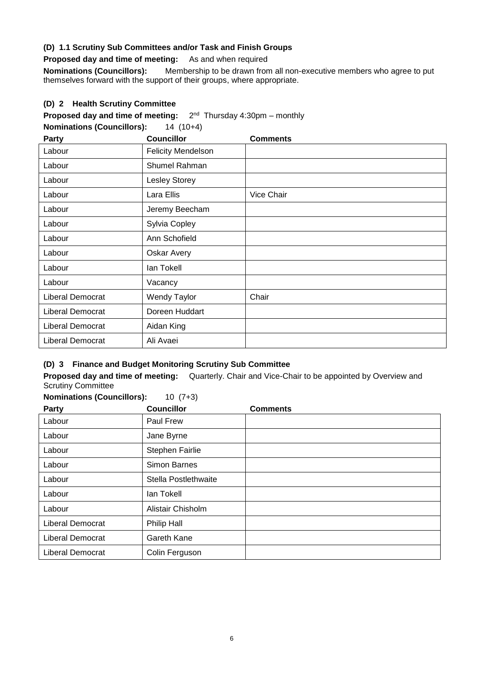### **(D) 1.1 Scrutiny Sub Committees and/or Task and Finish Groups**

**Proposed day and time of meeting:** As and when required

**Nominations (Councillors):** Membership to be drawn from all non-executive members who agree to put themselves forward with the support of their groups, where appropriate.

## **(D) 2 Health Scrutiny Committee**

**Proposed day and time of meeting:**  $2^{nd}$  Thursday 4:30pm – monthly

**Nominations (Councillors):** 14 (10+4)

| Party            | <b>Councillor</b>         | <b>Comments</b> |
|------------------|---------------------------|-----------------|
| Labour           | <b>Felicity Mendelson</b> |                 |
| Labour           | Shumel Rahman             |                 |
| Labour           | <b>Lesley Storey</b>      |                 |
| Labour           | Lara Ellis                | Vice Chair      |
| Labour           | Jeremy Beecham            |                 |
| Labour           | Sylvia Copley             |                 |
| Labour           | Ann Schofield             |                 |
| Labour           | Oskar Avery               |                 |
| Labour           | lan Tokell                |                 |
| Labour           | Vacancy                   |                 |
| Liberal Democrat | <b>Wendy Taylor</b>       | Chair           |
| Liberal Democrat | Doreen Huddart            |                 |
| Liberal Democrat | Aidan King                |                 |
| Liberal Democrat | Ali Avaei                 |                 |

### **(D) 3 Finance and Budget Monitoring Scrutiny Sub Committee**

**Proposed day and time of meeting:** Quarterly. Chair and Vice-Chair to be appointed by Overview and Scrutiny Committee **Nominations (Councillors):** 10 (7+3)

| NOMINATIONS (COUNCILIONS):<br>Party | $10(1+3)$<br><b>Councillor</b> | <b>Comments</b> |
|-------------------------------------|--------------------------------|-----------------|
|                                     |                                |                 |
| Labour                              | Paul Frew                      |                 |
| Labour                              | Jane Byrne                     |                 |
| Labour                              | Stephen Fairlie                |                 |
| Labour                              | <b>Simon Barnes</b>            |                 |
| Labour                              | Stella Postlethwaite           |                 |
| Labour                              | lan Tokell                     |                 |
| Labour                              | Alistair Chisholm              |                 |
| <b>Liberal Democrat</b>             | Philip Hall                    |                 |
| Liberal Democrat                    | Gareth Kane                    |                 |
| Liberal Democrat                    | Colin Ferguson                 |                 |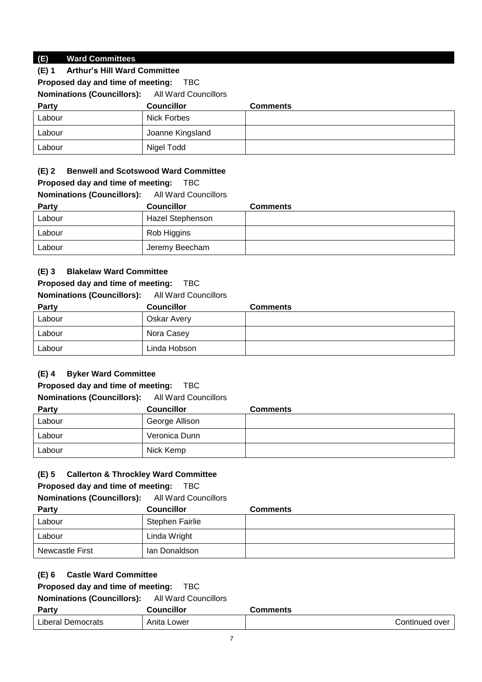# **(E) Ward Committees**

| (E) 1 | <b>Arthur's Hill Ward Committee</b> |  |
|-------|-------------------------------------|--|
|-------|-------------------------------------|--|

**Proposed day and time of meeting:** TBC

**Nominations (Councillors):** All Ward Councillors

| <b>Party</b> | <b>Councillor</b> | <b>Comments</b> |
|--------------|-------------------|-----------------|
| Labour       | Nick Forbes       |                 |
| Labour       | Joanne Kingsland  |                 |
| Labour       | Nigel Todd        |                 |

## **(E) 2 Benwell and Scotswood Ward Committee**

# **Proposed day and time of meeting:** TBC

**Nominations (Councillors):** All Ward Councillors

| <b>Party</b> | <b>Councillor</b> | <b>Comments</b> |
|--------------|-------------------|-----------------|
| Labour       | Hazel Stephenson  |                 |
| Labour       | Rob Higgins       |                 |
| Labour       | Jeremy Beecham    |                 |

# **(E) 3 Blakelaw Ward Committee**

# **Proposed day and time of meeting:** TBC

**Nominations (Councillors):** All Ward Councillors

| <b>Party</b> | <b>Councillor</b> | <b>Comments</b> |
|--------------|-------------------|-----------------|
| Labour       | Oskar Avery       |                 |
| Labour       | Nora Casey        |                 |
| Labour       | Linda Hobson      |                 |

# **(E) 4 Byker Ward Committee**

# **Proposed day and time of meeting:** TBC

#### **Nominations (Councillors):** All Ward Councillors

| <b>Party</b> | <b>Councillor</b> | <b>Comments</b> |
|--------------|-------------------|-----------------|
| Labour       | George Allison    |                 |
| Labour       | Veronica Dunn     |                 |
| Labour       | Nick Kemp         |                 |

# **(E) 5 Callerton & Throckley Ward Committee**

# **Proposed day and time of meeting:** TBC

**Nominations (Councillors):** All Ward Councillors

| <b>Party</b>    | <b>Councillor</b> | <b>Comments</b> |
|-----------------|-------------------|-----------------|
| Labour          | Stephen Fairlie   |                 |
| Labour          | Linda Wright      |                 |
| Newcastle First | lan Donaldson     |                 |

# **(E) 6 Castle Ward Committee**

# **Proposed day and time of meeting:** TBC

| Party                    | Councillor  | Comments       |
|--------------------------|-------------|----------------|
| <b>Liberal Democrats</b> | Anita Lower | Continued over |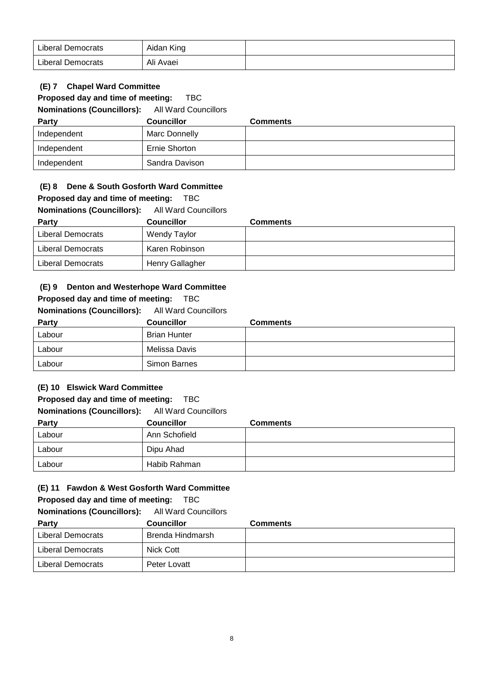| <b>Liberal Democrats</b> | Aidan King |  |
|--------------------------|------------|--|
| <b>Liberal Democrats</b> | Ali Avaei  |  |

## **(E) 7 Chapel Ward Committee**

### **Proposed day and time of meeting:** TBC

**Nominations (Councillors):** All Ward Councillors

| <b>Party</b> | <b>Councillor</b> | <b>Comments</b> |
|--------------|-------------------|-----------------|
| Independent  | Marc Donnelly     |                 |
| Independent  | Ernie Shorton     |                 |
| Independent  | Sandra Davison    |                 |

### **(E) 8 Dene & South Gosforth Ward Committee**

#### **Proposed day and time of meeting:** TBC

## **Nominations (Councillors):** All Ward Councillors

| Party             | <b>Councillor</b> | <b>Comments</b> |
|-------------------|-------------------|-----------------|
| Liberal Democrats | Wendy Taylor      |                 |
| Liberal Democrats | Karen Robinson    |                 |
| Liberal Democrats | Henry Gallagher   |                 |

#### **(E) 9 Denton and Westerhope Ward Committee**

#### **Proposed day and time of meeting:** TBC

**Nominations (Councillors):** All Ward Councillors

| <b>Party</b> | <b>Councillor</b>   | <b>Comments</b> |
|--------------|---------------------|-----------------|
| Labour       | <b>Brian Hunter</b> |                 |
| Labour       | Melissa Davis       |                 |
| Labour       | Simon Barnes        |                 |

### **(E) 10 Elswick Ward Committee**

#### **Proposed day and time of meeting:** TBC

**Nominations (Councillors):** All Ward Councillors

| Party  | <b>Councillor</b> | <b>Comments</b> |
|--------|-------------------|-----------------|
| Labour | Ann Schofield     |                 |
| Labour | Dipu Ahad         |                 |
| Labour | Habib Rahman      |                 |

#### **(E) 11 Fawdon & West Gosforth Ward Committee**

**Proposed day and time of meeting:** TBC

| Party             | <b>Councillor</b> | <b>Comments</b> |
|-------------------|-------------------|-----------------|
| Liberal Democrats | Brenda Hindmarsh  |                 |
| Liberal Democrats | Nick Cott         |                 |
| Liberal Democrats | Peter Lovatt      |                 |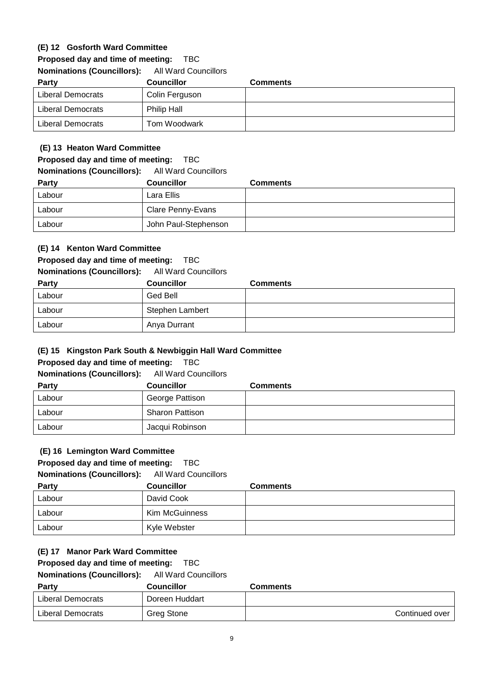## **(E) 12 Gosforth Ward Committee**

**Proposed day and time of meeting:** TBC

### **Nominations (Councillors):** All Ward Councillors

| Party             | <b>Councillor</b>  | <b>Comments</b> |
|-------------------|--------------------|-----------------|
| Liberal Democrats | Colin Ferguson     |                 |
| Liberal Democrats | <b>Philip Hall</b> |                 |
| Liberal Democrats | Tom Woodwark       |                 |

### **(E) 13 Heaton Ward Committee**

#### **Proposed day and time of meeting:** TBC

## **Nominations (Councillors):** All Ward Councillors

| <b>Party</b> | <b>Councillor</b>    | <b>Comments</b> |
|--------------|----------------------|-----------------|
| Labour       | Lara Ellis           |                 |
| Labour       | Clare Penny-Evans    |                 |
| Labour       | John Paul-Stephenson |                 |

### **(E) 14 Kenton Ward Committee**

#### **Proposed day and time of meeting:** TBC

**Nominations (Councillors):** All Ward Councillors

| <b>Party</b> | <b>Councillor</b> | <b>Comments</b> |
|--------------|-------------------|-----------------|
| Labour       | Ged Bell          |                 |
| Labour       | Stephen Lambert   |                 |
| Labour       | Anya Durrant      |                 |

### **(E) 15 Kingston Park South & Newbiggin Hall Ward Committee**

#### **Proposed day and time of meeting:** TBC

**Nominations (Councillors):** All Ward Councillors

| <b>Party</b> | <b>Councillor</b>      | <b>Comments</b> |
|--------------|------------------------|-----------------|
| Labour       | George Pattison        |                 |
| Labour       | <b>Sharon Pattison</b> |                 |
| Labour       | Jacqui Robinson        |                 |

#### **(E) 16 Lemington Ward Committee**

### **Proposed day and time of meeting:** TBC

**Nominations (Councillors):** All Ward Councillors

| <b>Party</b> | <b>Councillor</b> | <b>Comments</b> |
|--------------|-------------------|-----------------|
| Labour       | David Cook        |                 |
| Labour       | Kim McGuinness    |                 |
| Labour       | Kyle Webster      |                 |

### **(E) 17 Manor Park Ward Committee**

#### **Proposed day and time of meeting:** TBC

| Party             | Councillor     | <b>Comments</b> |
|-------------------|----------------|-----------------|
| Liberal Democrats | Doreen Huddart |                 |
| Liberal Democrats | Greg Stone     | Continued over  |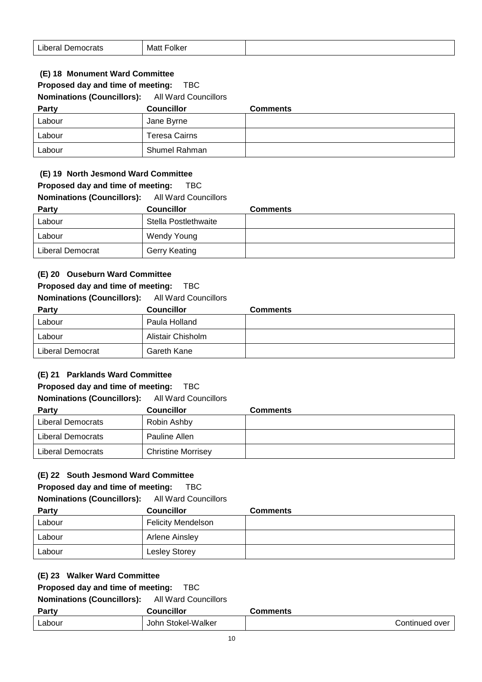| .<br>Liberal Democrats | Folker<br>Matt |  |
|------------------------|----------------|--|
|------------------------|----------------|--|

## **(E) 18 Monument Ward Committee**

# **Proposed day and time of meeting:** TBC

**Nominations (Councillors):** All Ward Councillors

| <b>Party</b> | <b>Councillor</b>    | <b>Comments</b> |
|--------------|----------------------|-----------------|
| Labour       | Jane Byrne           |                 |
| Labour       | <b>Teresa Cairns</b> |                 |
| Labour       | Shumel Rahman        |                 |

#### **(E) 19 North Jesmond Ward Committee**

| Proposed day and time of meeting: |  |  |  |  |  | TBC |
|-----------------------------------|--|--|--|--|--|-----|
|-----------------------------------|--|--|--|--|--|-----|

| <b>Nominations (Councillors):</b> | All Ward Councillors |          |
|-----------------------------------|----------------------|----------|
| <b>Party</b>                      | <b>Councillor</b>    | Comments |
| Labour                            | Stella Postlethwaite |          |
| Labour                            | Wendy Young          |          |
| Liberal Democrat                  | Gerry Keating        |          |

### **(E) 20 Ouseburn Ward Committee**

#### **Proposed day and time of meeting:** TBC

## **Nominations (Councillors):** All Ward Councillors

| Party            | <b>Councillor</b> | <b>Comments</b> |
|------------------|-------------------|-----------------|
| Labour           | Paula Holland     |                 |
| Labour           | Alistair Chisholm |                 |
| Liberal Democrat | Gareth Kane       |                 |

### **(E) 21 Parklands Ward Committee**

### **Proposed day and time of meeting:** TBC

#### **Nominations (Councillors):** All Ward Councillors

| Party             | <b>Councillor</b>         | <b>Comments</b> |
|-------------------|---------------------------|-----------------|
| Liberal Democrats | Robin Ashby               |                 |
| Liberal Democrats | Pauline Allen             |                 |
| Liberal Democrats | <b>Christine Morrisey</b> |                 |

### **(E) 22 South Jesmond Ward Committee**

#### **Proposed day and time of meeting:** TBC

| <b>Nominations (Councillors):</b> |  |  | <b>All Ward Councillors</b> |
|-----------------------------------|--|--|-----------------------------|
|-----------------------------------|--|--|-----------------------------|

| <b>Party</b> | <b>Councillor</b>         | <b>Comments</b> |
|--------------|---------------------------|-----------------|
| Labour       | <b>Felicity Mendelson</b> |                 |
| Labour       | Arlene Ainsley            |                 |
| Labour       | Lesley Storey             |                 |

## **(E) 23 Walker Ward Committee**

# **Proposed day and time of meeting:** TBC

| Party  | <b>Councillor</b>  | Comments       |
|--------|--------------------|----------------|
| ∟abour | John Stokel-Walker | Continued over |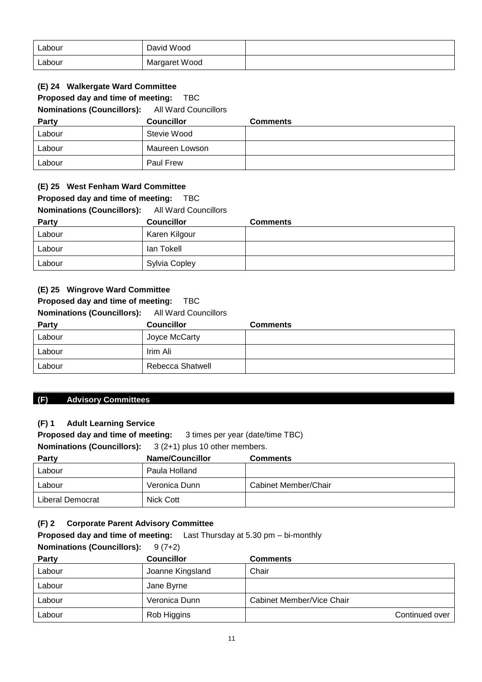| Labour | David Wood    |  |
|--------|---------------|--|
| Labour | Margaret Wood |  |

### **(E) 24 Walkergate Ward Committee**

### **Proposed day and time of meeting:** TBC

**Nominations (Councillors):** All Ward Councillors

| Party  | <b>Councillor</b> | <b>Comments</b> |
|--------|-------------------|-----------------|
| Labour | Stevie Wood       |                 |
| Labour | Maureen Lowson    |                 |
| Labour | <b>Paul Frew</b>  |                 |

#### **(E) 25 West Fenham Ward Committee**

## **Proposed day and time of meeting:** TBC

**Nominations (Councillors):** All Ward Councillors

| <b>Party</b> | <b>Councillor</b> | <b>Comments</b> |
|--------------|-------------------|-----------------|
| Labour       | Karen Kilgour     |                 |
| Labour       | lan Tokell        |                 |
| Labour       | Sylvia Copley     |                 |

#### **(E) 25 Wingrove Ward Committee**

### **Proposed day and time of meeting:** TBC

#### **Nominations (Councillors):** All Ward Councillors

| Party  | <b>Councillor</b> | <b>Comments</b> |
|--------|-------------------|-----------------|
| Labour | Joyce McCarty     |                 |
| Labour | Irim Ali          |                 |
| Labour | Rebecca Shatwell  |                 |

#### **(F) Advisory Committees**

### **(F) 1 Adult Learning Service**

**Proposed day and time of meeting:** 3 times per year (date/time TBC) **Nominations (Councillors):** 3 (2+1) plus 10 other members.

| <b>Party</b>     | <b>Name/Councillor</b> | <b>Comments</b>      |
|------------------|------------------------|----------------------|
| Labour           | Paula Holland          |                      |
| Labour           | Veronica Dunn          | Cabinet Member/Chair |
| Liberal Democrat | Nick Cott              |                      |

### **(F) 2 Corporate Parent Advisory Committee**

**Proposed day and time of meeting:** Last Thursday at 5.30 pm – bi-monthly

| <b>Nominations (Councillors):</b> | $9(7+2)$          |                           |
|-----------------------------------|-------------------|---------------------------|
| <b>Party</b>                      | <b>Councillor</b> | <b>Comments</b>           |
| Labour                            | Joanne Kingsland  | Chair                     |
| Labour                            | Jane Byrne        |                           |
| Labour                            | Veronica Dunn     | Cabinet Member/Vice Chair |
| Labour                            | Rob Higgins       | Continued over            |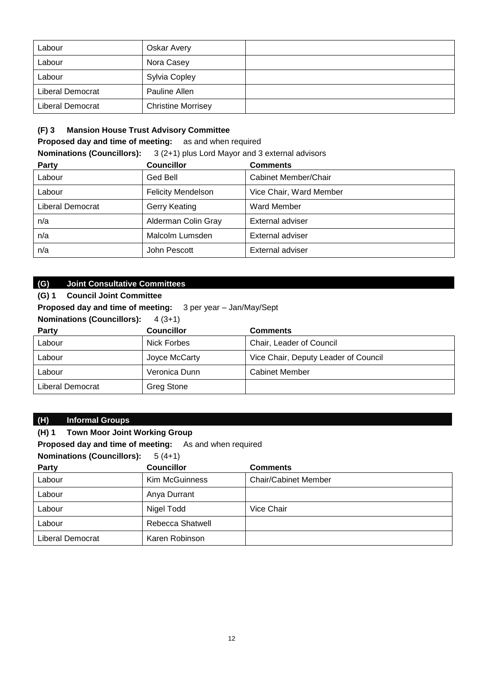| Labour           | <b>Oskar Avery</b>        |  |
|------------------|---------------------------|--|
| Labour           | Nora Casey                |  |
| Labour           | Sylvia Copley             |  |
| Liberal Democrat | Pauline Allen             |  |
| Liberal Democrat | <b>Christine Morrisey</b> |  |

## **(F) 3 Mansion House Trust Advisory Committee**

**Proposed day and time of meeting:** as and when required

**Nominations (Councillors):** 3 (2+1) plus Lord Mayor and 3 external advisors

| <b>Party</b>     | <b>Councillor</b>         | <b>Comments</b>         |
|------------------|---------------------------|-------------------------|
| Labour           | Ged Bell                  | Cabinet Member/Chair    |
| Labour           | <b>Felicity Mendelson</b> | Vice Chair, Ward Member |
| Liberal Democrat | <b>Gerry Keating</b>      | Ward Member             |
| n/a              | Alderman Colin Gray       | External adviser        |
| n/a              | Malcolm Lumsden           | <b>External adviser</b> |
| n/a              | John Pescott              | <b>External adviser</b> |

## **(G) Joint Consultative Committees**

| <b>Council Joint Committee</b><br>(G) 1                                                                             |                   |                                      |  |
|---------------------------------------------------------------------------------------------------------------------|-------------------|--------------------------------------|--|
| <b>Proposed day and time of meeting:</b> 3 per year - Jan/May/Sept<br><b>Nominations (Councillors):</b><br>$4(3+1)$ |                   |                                      |  |
| <b>Councillor</b><br><b>Comments</b><br><b>Party</b>                                                                |                   |                                      |  |
| Labour                                                                                                              | Nick Forbes       | Chair, Leader of Council             |  |
| Labour                                                                                                              | Joyce McCarty     | Vice Chair, Deputy Leader of Council |  |
| Labour                                                                                                              | Veronica Dunn     | <b>Cabinet Member</b>                |  |
| Liberal Democrat                                                                                                    | <b>Greg Stone</b> |                                      |  |

### **(H) Informal Groups**

### **(H) 1 Town Moor Joint Working Group**

**Proposed day and time of meeting:** As and when required

### **Nominations (Councillors):** 5 (4+1)

| Party                   | <b>Councillor</b>     | <b>Comments</b>             |
|-------------------------|-----------------------|-----------------------------|
| Labour                  | <b>Kim McGuinness</b> | <b>Chair/Cabinet Member</b> |
| Labour                  | Anya Durrant          |                             |
| Labour                  | Nigel Todd            | Vice Chair                  |
| Labour                  | Rebecca Shatwell      |                             |
| <b>Liberal Democrat</b> | Karen Robinson        |                             |